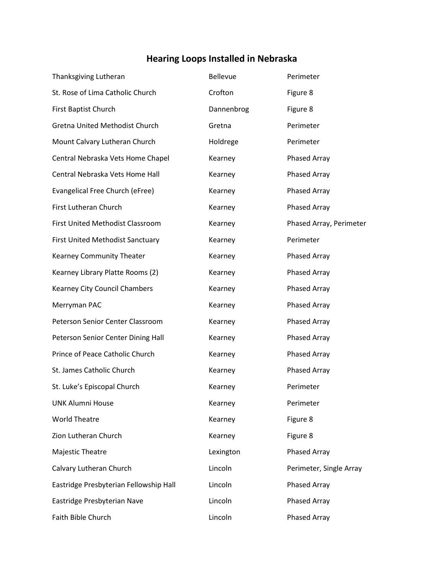## **Hearing Loops Installed in Nebraska**

| Thanksgiving Lutheran                   | Bellevue   | Perimeter               |
|-----------------------------------------|------------|-------------------------|
| St. Rose of Lima Catholic Church        | Crofton    | Figure 8                |
| First Baptist Church                    | Dannenbrog | Figure 8                |
| Gretna United Methodist Church          | Gretna     | Perimeter               |
| Mount Calvary Lutheran Church           | Holdrege   | Perimeter               |
| Central Nebraska Vets Home Chapel       | Kearney    | <b>Phased Array</b>     |
| Central Nebraska Vets Home Hall         | Kearney    | <b>Phased Array</b>     |
| Evangelical Free Church (eFree)         | Kearney    | <b>Phased Array</b>     |
| First Lutheran Church                   | Kearney    | <b>Phased Array</b>     |
| First United Methodist Classroom        | Kearney    | Phased Array, Perimeter |
| <b>First United Methodist Sanctuary</b> | Kearney    | Perimeter               |
| Kearney Community Theater               | Kearney    | <b>Phased Array</b>     |
| Kearney Library Platte Rooms (2)        | Kearney    | Phased Array            |
| Kearney City Council Chambers           | Kearney    | Phased Array            |
| Merryman PAC                            | Kearney    | Phased Array            |
| Peterson Senior Center Classroom        | Kearney    | Phased Array            |
| Peterson Senior Center Dining Hall      | Kearney    | Phased Array            |
| Prince of Peace Catholic Church         | Kearney    | Phased Array            |
| St. James Catholic Church               | Kearney    | Phased Array            |
| St. Luke's Episcopal Church             | Kearney    | Perimeter               |
| <b>UNK Alumni House</b>                 | Kearney    | Perimeter               |
| <b>World Theatre</b>                    | Kearney    | Figure 8                |
| Zion Lutheran Church                    | Kearney    | Figure 8                |
| Majestic Theatre                        | Lexington  | <b>Phased Array</b>     |
| Calvary Lutheran Church                 | Lincoln    | Perimeter, Single Array |
| Eastridge Presbyterian Fellowship Hall  | Lincoln    | Phased Array            |
| Eastridge Presbyterian Nave             | Lincoln    | Phased Array            |
| Faith Bible Church                      | Lincoln    | Phased Array            |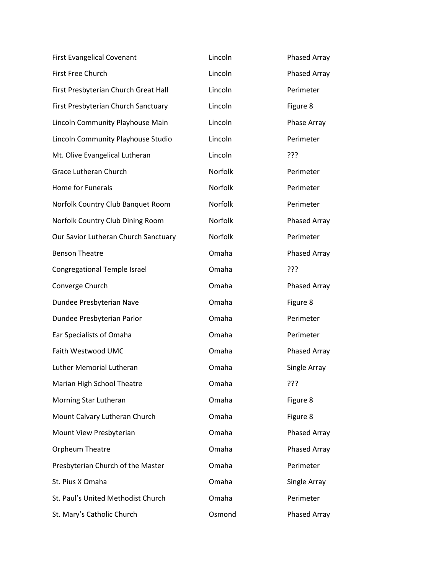| <b>First Evangelical Covenant</b>    | Lincoln | Phased Array |
|--------------------------------------|---------|--------------|
| First Free Church                    | Lincoln | Phased Array |
| First Presbyterian Church Great Hall | Lincoln | Perimeter    |
| First Presbyterian Church Sanctuary  | Lincoln | Figure 8     |
| Lincoln Community Playhouse Main     | Lincoln | Phase Array  |
| Lincoln Community Playhouse Studio   | Lincoln | Perimeter    |
| Mt. Olive Evangelical Lutheran       | Lincoln | ???          |
| <b>Grace Lutheran Church</b>         | Norfolk | Perimeter    |
| <b>Home for Funerals</b>             | Norfolk | Perimeter    |
| Norfolk Country Club Banquet Room    | Norfolk | Perimeter    |
| Norfolk Country Club Dining Room     | Norfolk | Phased Array |
| Our Savior Lutheran Church Sanctuary | Norfolk | Perimeter    |
| <b>Benson Theatre</b>                | Omaha   | Phased Array |
| Congregational Temple Israel         | Omaha   | ???          |
| Converge Church                      | Omaha   | Phased Array |
| Dundee Presbyterian Nave             | Omaha   | Figure 8     |
| Dundee Presbyterian Parlor           | Omaha   | Perimeter    |
| Ear Specialists of Omaha             | Omaha   | Perimeter    |
| Faith Westwood UMC                   | Omaha   | Phased Array |
| <b>Luther Memorial Lutheran</b>      | Omaha   | Single Array |
| Marian High School Theatre           | Omaha   | ???          |
| Morning Star Lutheran                | Omaha   | Figure 8     |
| Mount Calvary Lutheran Church        | Omaha   | Figure 8     |
| Mount View Presbyterian              | Omaha   | Phased Array |
| Orpheum Theatre                      | Omaha   | Phased Array |
| Presbyterian Church of the Master    | Omaha   | Perimeter    |
| St. Pius X Omaha                     | Omaha   | Single Array |
| St. Paul's United Methodist Church   | Omaha   | Perimeter    |
| St. Mary's Catholic Church           | Osmond  | Phased Array |